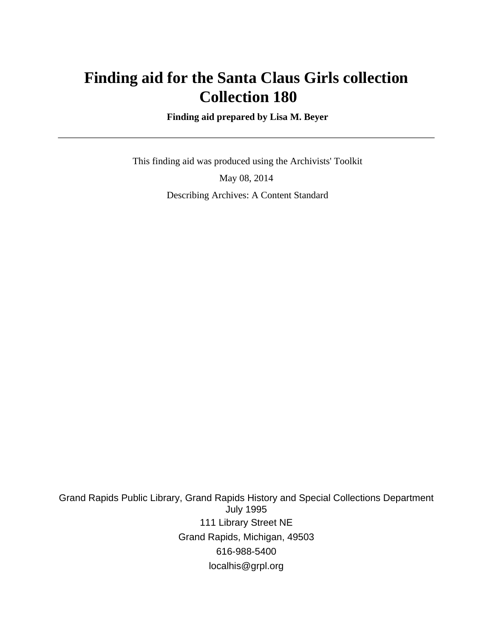# **Finding aid for the Santa Claus Girls collection Collection 180**

 **Finding aid prepared by Lisa M. Beyer**

 This finding aid was produced using the Archivists' Toolkit May 08, 2014 Describing Archives: A Content Standard

Grand Rapids Public Library, Grand Rapids History and Special Collections Department July 1995 111 Library Street NE Grand Rapids, Michigan, 49503 616-988-5400 localhis@grpl.org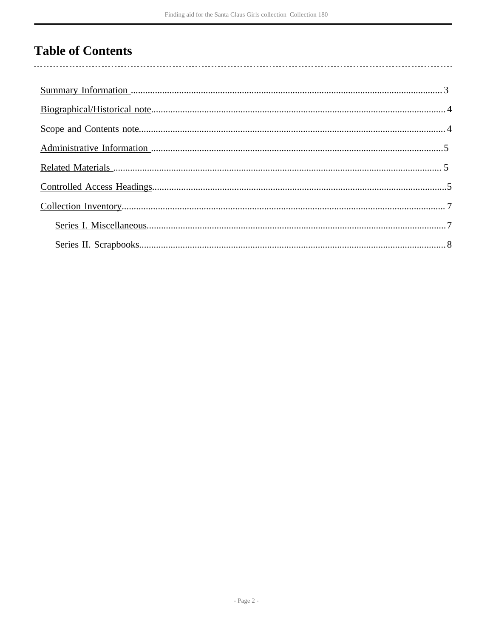# **Table of Contents**

 $\overline{\phantom{a}}$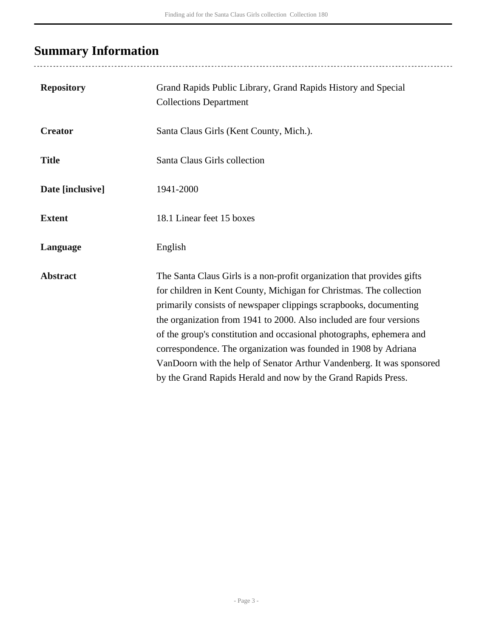# <span id="page-2-0"></span>**Summary Information**

| <b>Repository</b> | Grand Rapids Public Library, Grand Rapids History and Special<br><b>Collections Department</b>                                                                                                                                                                                                                                                                                                                                                                                                                                                                                 |
|-------------------|--------------------------------------------------------------------------------------------------------------------------------------------------------------------------------------------------------------------------------------------------------------------------------------------------------------------------------------------------------------------------------------------------------------------------------------------------------------------------------------------------------------------------------------------------------------------------------|
| <b>Creator</b>    | Santa Claus Girls (Kent County, Mich.).                                                                                                                                                                                                                                                                                                                                                                                                                                                                                                                                        |
| <b>Title</b>      | Santa Claus Girls collection                                                                                                                                                                                                                                                                                                                                                                                                                                                                                                                                                   |
| Date [inclusive]  | 1941-2000                                                                                                                                                                                                                                                                                                                                                                                                                                                                                                                                                                      |
| <b>Extent</b>     | 18.1 Linear feet 15 boxes                                                                                                                                                                                                                                                                                                                                                                                                                                                                                                                                                      |
| Language          | English                                                                                                                                                                                                                                                                                                                                                                                                                                                                                                                                                                        |
| <b>Abstract</b>   | The Santa Claus Girls is a non-profit organization that provides gifts<br>for children in Kent County, Michigan for Christmas. The collection<br>primarily consists of newspaper clippings scrapbooks, documenting<br>the organization from 1941 to 2000. Also included are four versions<br>of the group's constitution and occasional photographs, ephemera and<br>correspondence. The organization was founded in 1908 by Adriana<br>VanDoorn with the help of Senator Arthur Vandenberg. It was sponsored<br>by the Grand Rapids Herald and now by the Grand Rapids Press. |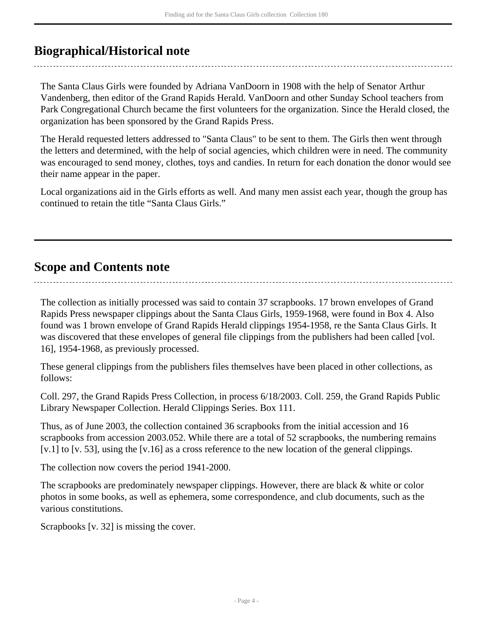# <span id="page-3-0"></span>**Biographical/Historical note**

The Santa Claus Girls were founded by Adriana VanDoorn in 1908 with the help of Senator Arthur Vandenberg, then editor of the Grand Rapids Herald. VanDoorn and other Sunday School teachers from Park Congregational Church became the first volunteers for the organization. Since the Herald closed, the organization has been sponsored by the Grand Rapids Press.

The Herald requested letters addressed to "Santa Claus" to be sent to them. The Girls then went through the letters and determined, with the help of social agencies, which children were in need. The community was encouraged to send money, clothes, toys and candies. In return for each donation the donor would see their name appear in the paper.

Local organizations aid in the Girls efforts as well. And many men assist each year, though the group has continued to retain the title "Santa Claus Girls."

## <span id="page-3-1"></span>**Scope and Contents note**

The collection as initially processed was said to contain 37 scrapbooks. 17 brown envelopes of Grand Rapids Press newspaper clippings about the Santa Claus Girls, 1959-1968, were found in Box 4. Also found was 1 brown envelope of Grand Rapids Herald clippings 1954-1958, re the Santa Claus Girls. It was discovered that these envelopes of general file clippings from the publishers had been called [vol. 16], 1954-1968, as previously processed.

These general clippings from the publishers files themselves have been placed in other collections, as follows:

Coll. 297, the Grand Rapids Press Collection, in process 6/18/2003. Coll. 259, the Grand Rapids Public Library Newspaper Collection. Herald Clippings Series. Box 111.

Thus, as of June 2003, the collection contained 36 scrapbooks from the initial accession and 16 scrapbooks from accession 2003.052. While there are a total of 52 scrapbooks, the numbering remains [v.1] to [v. 53], using the [v.16] as a cross reference to the new location of the general clippings.

The collection now covers the period 1941-2000.

The scrapbooks are predominately newspaper clippings. However, there are black & white or color photos in some books, as well as ephemera, some correspondence, and club documents, such as the various constitutions.

Scrapbooks [v. 32] is missing the cover.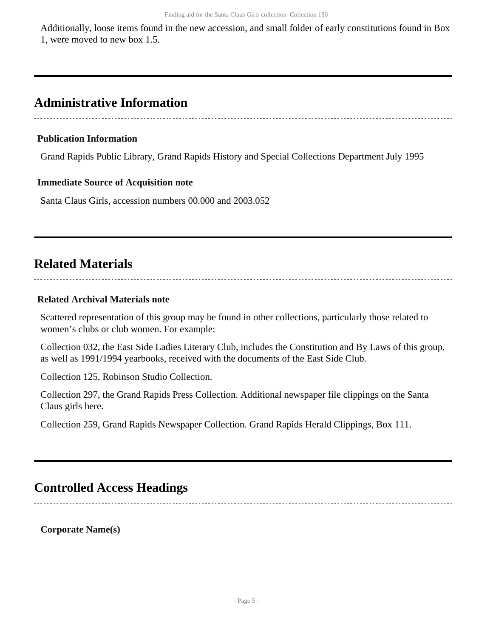Additionally, loose items found in the new accession, and small folder of early constitutions found in Box 1, were moved to new box 1.5.

# <span id="page-4-0"></span>**Administrative Information**

#### **Publication Information**

Grand Rapids Public Library, Grand Rapids History and Special Collections Department July 1995

#### **Immediate Source of Acquisition note**

Santa Claus Girls, accession numbers 00.000 and 2003.052

# <span id="page-4-1"></span>**Related Materials**

#### **Related Archival Materials note**

Scattered representation of this group may be found in other collections, particularly those related to women's clubs or club women. For example:

Collection 032, the East Side Ladies Literary Club, includes the Constitution and By Laws of this group, as well as 1991/1994 yearbooks, received with the documents of the East Side Club.

Collection 125, Robinson Studio Collection.

Collection 297, the Grand Rapids Press Collection. Additional newspaper file clippings on the Santa Claus girls here.

Collection 259, Grand Rapids Newspaper Collection. Grand Rapids Herald Clippings, Box 111.

### <span id="page-4-2"></span>**Controlled Access Headings**

**Corporate Name(s)**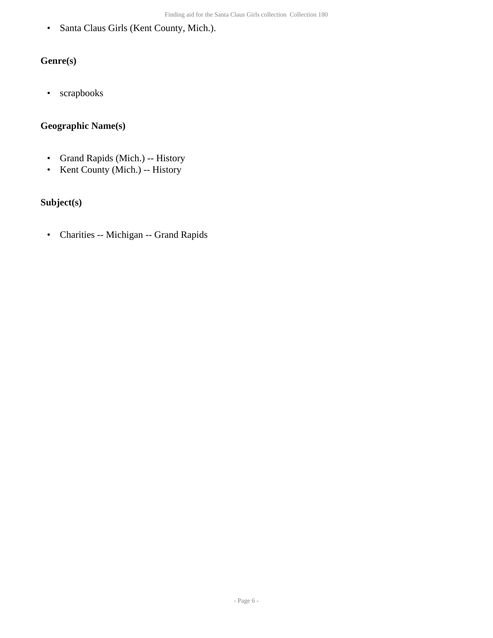• Santa Claus Girls (Kent County, Mich.).

### **Genre(s)**

• scrapbooks

### **Geographic Name(s)**

- Grand Rapids (Mich.) -- History
- Kent County (Mich.) -- History

### **Subject(s)**

• Charities -- Michigan -- Grand Rapids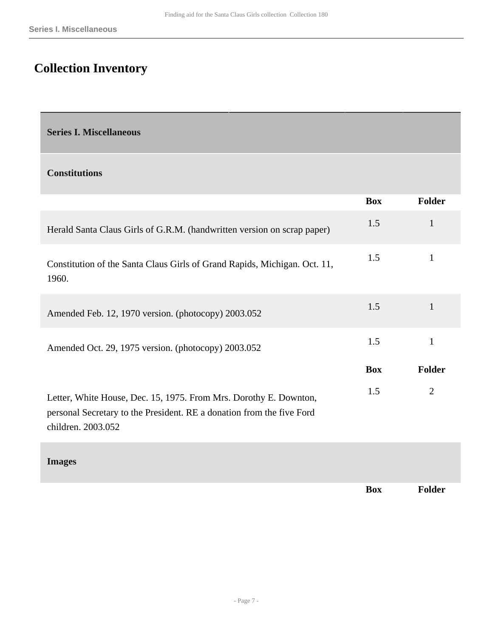# <span id="page-6-0"></span>**Collection Inventory**

<span id="page-6-1"></span>**Series I. Miscellaneous** 

#### **Constitutions**

|                                                                                                                                                                  | <b>Box</b> | Folder        |
|------------------------------------------------------------------------------------------------------------------------------------------------------------------|------------|---------------|
| Herald Santa Claus Girls of G.R.M. (handwritten version on scrap paper)                                                                                          | 1.5        | 1             |
| Constitution of the Santa Claus Girls of Grand Rapids, Michigan. Oct. 11,<br>1960.                                                                               | 1.5        | 1             |
| Amended Feb. 12, 1970 version. (photocopy) 2003.052                                                                                                              | 1.5        | 1             |
| Amended Oct. 29, 1975 version. (photocopy) 2003.052                                                                                                              | 1.5        | 1             |
|                                                                                                                                                                  | <b>Box</b> | <b>Folder</b> |
| Letter, White House, Dec. 15, 1975. From Mrs. Dorothy E. Downton,<br>personal Secretary to the President. RE a donation from the five Ford<br>children. 2003.052 | 1.5        | 2             |
| <b>Images</b>                                                                                                                                                    |            |               |

**Box Folder**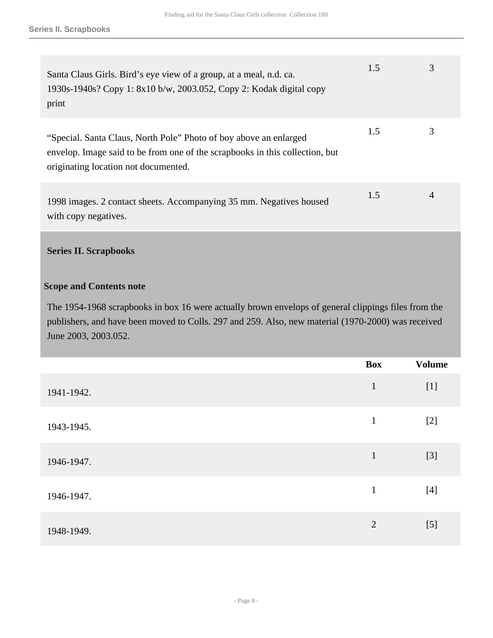| Santa Claus Girls. Bird's eye view of a group, at a meal, n.d. ca.<br>1930s-1940s? Copy 1: 8x10 b/w, 2003.052, Copy 2: Kodak digital copy<br>print                                        | 1.5 | 3              |
|-------------------------------------------------------------------------------------------------------------------------------------------------------------------------------------------|-----|----------------|
| "Special. Santa Claus, North Pole" Photo of boy above an enlarged<br>envelop. Image said to be from one of the scrapbooks in this collection, but<br>originating location not documented. | 1.5 | 3              |
| 1998 images. 2 contact sheets. Accompanying 35 mm. Negatives housed<br>with copy negatives.                                                                                               | 1.5 | $\overline{4}$ |

### <span id="page-7-0"></span>**Series II. Scrapbooks**

#### **Scope and Contents note**

The 1954-1968 scrapbooks in box 16 were actually brown envelops of general clippings files from the publishers, and have been moved to Colls. 297 and 259. Also, new material (1970-2000) was received June 2003, 2003.052.

|            | <b>Box</b>     | <b>Volume</b> |
|------------|----------------|---------------|
| 1941-1942. | $\mathbf{1}$   | $[1]$         |
| 1943-1945. | $\mathbf{1}$   | $[2]$         |
| 1946-1947. | $\mathbf{1}$   | $[3]$         |
| 1946-1947. | $\mathbf{1}$   | $[4]$         |
| 1948-1949. | $\overline{2}$ | $[5]$         |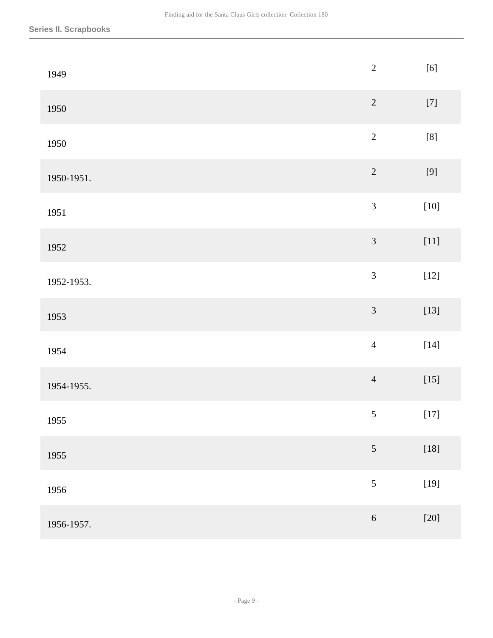| 1949       | $\sqrt{2}$     | $[6]$              |
|------------|----------------|--------------------|
| 1950       | $\sqrt{2}$     | $\left[ 7\right]$  |
| 1950       | $\overline{2}$ | $\left[ 8\right]$  |
| 1950-1951. | $\sqrt{2}$     | $\left[ 9\right]$  |
| 1951       | $\mathfrak{Z}$ | $[10]$             |
| 1952       | $\mathfrak{Z}$ | $[11]$             |
| 1952-1953. | $\mathfrak{Z}$ | $\left[ 12\right]$ |
| 1953       | $\mathfrak{Z}$ | $[13]$             |
| 1954       | $\overline{4}$ | $[14]$             |
| 1954-1955. | $\overline{4}$ | $[15]$             |
| 1955       | $\sqrt{5}$     | $[17]$             |
| 1955       | $\sqrt{5}$     | $[18]$             |
| 1956       | $\mathfrak{S}$ | $[19]$             |
| 1956-1957. | $\sqrt{6}$     | $[20]$             |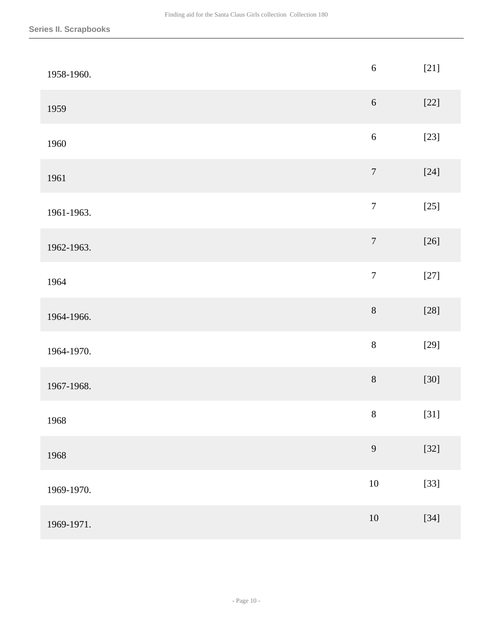| 1958-1960. | $\sqrt{6}$       | $[21]$ |
|------------|------------------|--------|
| 1959       | $\sqrt{6}$       | $[22]$ |
| 1960       | $\sqrt{6}$       | $[23]$ |
| 1961       | $\boldsymbol{7}$ | $[24]$ |
| 1961-1963. | $\boldsymbol{7}$ | $[25]$ |
| 1962-1963. | $\boldsymbol{7}$ | $[26]$ |
| 1964       | $\boldsymbol{7}$ | $[27]$ |
| 1964-1966. | $8\,$            | $[28]$ |
| 1964-1970. | $8\,$            | $[29]$ |
| 1967-1968. | $8\,$            | $[30]$ |
| 1968       | $8\,$            | $[31]$ |
| 1968       | $\overline{9}$   | $[32]$ |
| 1969-1970. | $10\,$           | $[33]$ |
| 1969-1971. | $10\,$           | $[34]$ |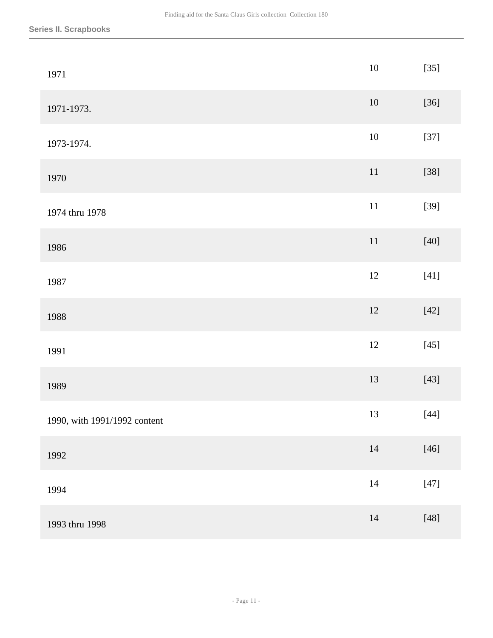| 1971                         | $10\,$ | $[35]$ |
|------------------------------|--------|--------|
| 1971-1973.                   | $10\,$ | $[36]$ |
| 1973-1974.                   | $10\,$ | $[37]$ |
| 1970                         | $11\,$ | $[38]$ |
| 1974 thru 1978               | $11\,$ | $[39]$ |
| 1986                         | $11\,$ | $[40]$ |
| 1987                         | 12     | $[41]$ |
| 1988                         | $12\,$ | $[42]$ |
| 1991                         | $12\,$ | $[45]$ |
| 1989                         | $13\,$ | $[43]$ |
| 1990, with 1991/1992 content | 13     | $[44]$ |
| 1992                         | $14\,$ | $[46]$ |
| 1994                         | $14\,$ | $[47]$ |
| 1993 thru 1998               | $14\,$ | $[48]$ |